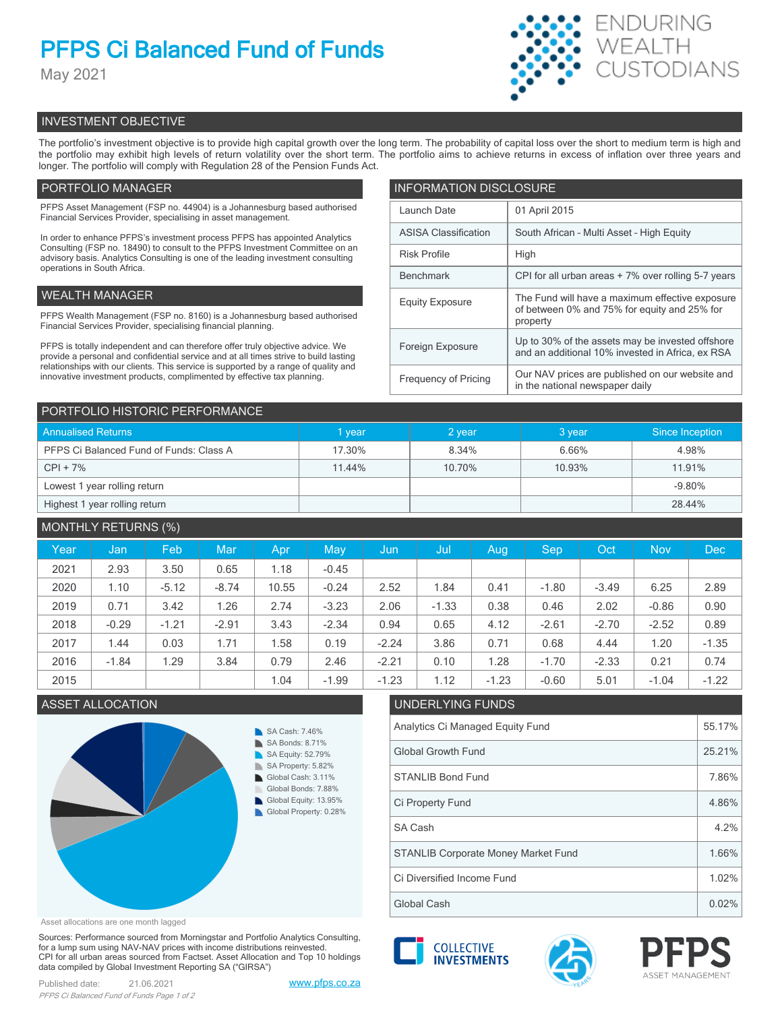# **PFPS Ci Balanced Fund of Funds**

May 2021



# INVESTMENT OBJECTIVE

The portfolio's investment objective is to provide high capital growth over the long term. The probability of capital loss over the short to medium term is high and the portfolio may exhibit high levels of return volatility over the short term. The portfolio aims to achieve returns in excess of inflation over three years and longer. The portfolio will comply with Regulation 28 of the Pension Funds Act.

# PORTFOLIO MANAGER

PFPS Asset Management (FSP no. 44904) is a Johannesburg based authorised Financial Services Provider, specialising in asset management.

In order to enhance PFPS's investment process PFPS has appointed Analytics Consulting (FSP no. 18490) to consult to the PFPS Investment Committee on an advisory basis. Analytics Consulting is one of the leading investment consulting operations in South Africa.

# WEALTH MANAGER

PFPS Wealth Management (FSP no. 8160) is a Johannesburg based authorised Financial Services Provider, specialising financial planning.

PFPS is totally independent and can therefore offer truly objective advice. We provide a personal and confidential service and at all times strive to build lasting relationships with our clients. This service is supported by a range of quality and innovative investment products, complimented by effective tax planning.

| <b>INFORMATION DISCLOSURE</b> |                                                                                                             |  |  |  |  |
|-------------------------------|-------------------------------------------------------------------------------------------------------------|--|--|--|--|
| Launch Date                   | 01 April 2015                                                                                               |  |  |  |  |
| <b>ASISA Classification</b>   | South African - Multi Asset - High Equity                                                                   |  |  |  |  |
| <b>Risk Profile</b>           | High                                                                                                        |  |  |  |  |
| <b>Benchmark</b>              | CPI for all urban areas + 7% over rolling 5-7 years                                                         |  |  |  |  |
| <b>Equity Exposure</b>        | The Fund will have a maximum effective exposure<br>of between 0% and 75% for equity and 25% for<br>property |  |  |  |  |
| Foreign Exposure              | Up to 30% of the assets may be invested offshore<br>and an additional 10% invested in Africa, ex RSA        |  |  |  |  |
| <b>Frequency of Pricing</b>   | Our NAV prices are published on our website and<br>in the national newspaper daily                          |  |  |  |  |

| PORTFOLIO HISTORIC PERFORMANCE          |        |        |        |                 |  |  |  |
|-----------------------------------------|--------|--------|--------|-----------------|--|--|--|
| <b>Annualised Returns</b>               | vear   | 2 year | 3 year | Since Inception |  |  |  |
| PFPS Ci Balanced Fund of Funds: Class A | 17.30% | 8.34%  | 6.66%  | 4.98%           |  |  |  |
| $CPI + 7%$                              | 11.44% | 10.70% | 10.93% | 11.91%          |  |  |  |
| Lowest 1 year rolling return            |        |        |        | $-9.80%$        |  |  |  |
| Highest 1 year rolling return           |        |        |        | 28.44%          |  |  |  |

| <b>MONTHLY RETURNS (%)</b> |         |         |            |       |         |         |         |         |         |         |            |         |
|----------------------------|---------|---------|------------|-------|---------|---------|---------|---------|---------|---------|------------|---------|
| Year                       | Jan     | Feb     | <b>Mar</b> | Apr   | May     | Jun     | Jul     | Aug     | Sep     | Oct.    | <b>Nov</b> | Dec     |
| 2021                       | 2.93    | 3.50    | 0.65       | 1.18  | $-0.45$ |         |         |         |         |         |            |         |
| 2020                       | 1.10    | $-5.12$ | $-8.74$    | 10.55 | $-0.24$ | 2.52    | 1.84    | 0.41    | $-1.80$ | $-3.49$ | 6.25       | 2.89    |
| 2019                       | 0.71    | 3.42    | 1.26       | 2.74  | $-3.23$ | 2.06    | $-1.33$ | 0.38    | 0.46    | 2.02    | $-0.86$    | 0.90    |
| 2018                       | $-0.29$ | $-1.21$ | $-2.91$    | 3.43  | $-2.34$ | 0.94    | 0.65    | 4.12    | $-2.61$ | $-2.70$ | $-2.52$    | 0.89    |
| 2017                       | 1.44    | 0.03    | 1.71       | 1.58  | 0.19    | $-2.24$ | 3.86    | 0.71    | 0.68    | 4.44    | 1.20       | $-1.35$ |
| 2016                       | $-1.84$ | 1.29    | 3.84       | 0.79  | 2.46    | $-2.21$ | 0.10    | 1.28    | $-1.70$ | $-2.33$ | 0.21       | 0.74    |
| 2015                       |         |         |            | 1.04  | $-1.99$ | $-1.23$ | 1.12    | $-1.23$ | $-0.60$ | 5.01    | $-1.04$    | $-1.22$ |

# ASSET ALLOCATION UNDERLYING FUNDS



Asset allocations are one month lagged

Sources: Performance sourced from Morningstar and Portfolio Analytics Consulting, for a lump sum using NAV-NAV prices with income distributions reinvested. CPI for all urban areas sourced from Factset. Asset Allocation and Top 10 holdings data compiled by Global Investment Reporting SA ("GIRSA")